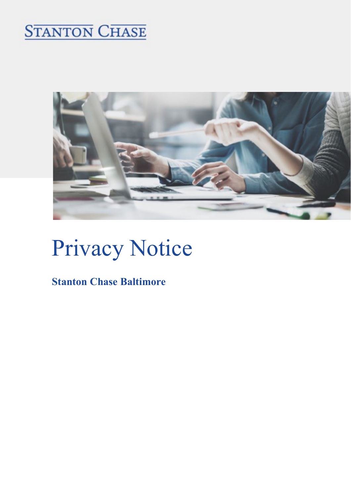## **STANTON CHASE**



# Privacy Notice

### Stanton Chase Baltimore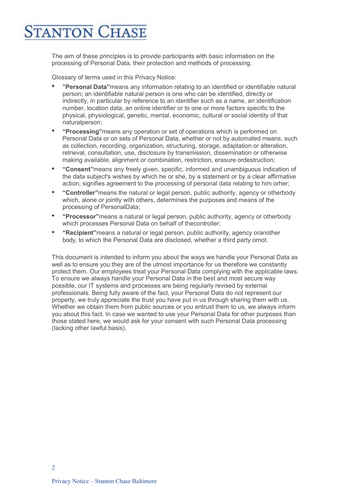## **ANTON CHASE**

The aim of these principles is to provide participants with basic information on the processing of Personal Data, their protection and methods of processing.

Glossary of terms used in this Privacy Notice:

- "Personal Data" means any information relating to an identified or identifiable natural person; an identifiable natural person is one who can be identified, directly or indirectly, in particular by reference to an identifier such as a name, an identification number, location data, an online identifier or to one or more factors specific to the physical, physiological, genetic, mental, economic, cultural or social identity of that naturalperson;
- "Processing"means any operation or set of operations which is performed on Personal Data or on sets of Personal Data, whether or not by automated means, such as collection, recording, organization, structuring, storage, adaptation or alteration, retrieval, consultation, use, disclosure by transmission, dissemination or otherwise making available, alignment or combination, restriction, erasure ordestruction;
- "Consent"means any freely given, specific, informed and unambiguous indication of the data subject's wishes by which he or she, by a statement or by a clear affirmative action, signifies agreement to the processing of personal data relating to him orher;
- "Controller"means the natural or legal person, public authority, agency or otherbody which, alone or jointly with others, determines the purposes and means of the processing of PersonalData;
- "Processor"means a natural or legal person, public authority, agency or otherbody which processes Personal Data on behalf of thecontroller;
- "Recipient"means a natural or legal person, public authority, agency oranother body, to which the Personal Data are disclosed, whether a third party ornot.

This document is intended to inform you about the ways we handle your Personal Data as well as to ensure you they are of the utmost importance for us therefore we constantly protect them. Our employees treat your Personal Data complying with the applicable laws. To ensure we always handle your Personal Data in the best and most secure way possible, our IT systems and processes are being regularly revised by external professionals. Being fully aware of the fact, your Personal Data do not represent our property, we truly appreciate the trust you have put in us through sharing them with us. Whether we obtain them from public sources or you entrust them to us, we always inform you about this fact. In case we wanted to use your Personal Data for other purposes than those stated here, we would ask for your consent with such Personal Data processing (lacking other lawful basis).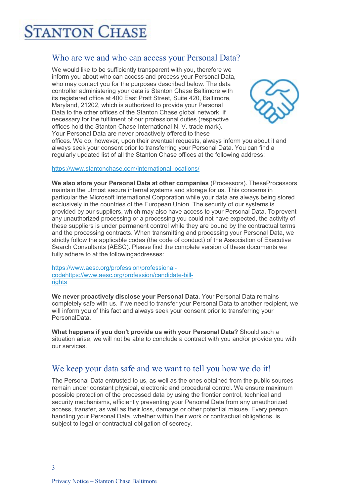### **TANTON CHASE**

#### Who are we and who can access your Personal Data?

We would like to be sufficiently transparent with you, therefore we inform you about who can access and process your Personal Data, who may contact you for the purposes described below. The data controller administering your data is Stanton Chase Baltimore with its registered office at 400 East Pratt Street, Suite 420, Baltimore, Maryland, 21202, which is authorized to provide your Personal Data to the other offices of the Stanton Chase global network, if necessary for the fulfilment of our professional duties (respective offices hold the Stanton Chase International N. V. trade mark). Your Personal Data are never proactively offered to these



offices. We do, however, upon their eventual requests, always inform you about it and always seek your consent prior to transferring your Personal Data. You can find a regularly updated list of all the Stanton Chase offices at the following address:

#### https://www.stantonchase.com/international-locations/

We also store your Personal Data at other companies (Processors). TheseProcessors maintain the utmost secure internal systems and storage for us. This concerns in particular the Microsoft International Corporation while your data are always being stored exclusively in the countries of the European Union. The security of our systems is provided by our suppliers, which may also have access to your Personal Data. To prevent any unauthorized processing or a processing you could not have expected, the activity of these suppliers is under permanent control while they are bound by the contractual terms and the processing contracts. When transmitting and processing your Personal Data, we strictly follow the applicable codes (the code of conduct) of the Association of Executive Search Consultants (AESC). Please find the complete version of these documents we fully adhere to at the followingaddresses:

https://www.aesc.org/profession/professionalcodehttps://www.aesc.org/profession/candidate-billrights

We never proactively disclose your Personal Data. Your Personal Data remains completely safe with us. If we need to transfer your Personal Data to another recipient, we will inform you of this fact and always seek your consent prior to transferring your PersonalData.

What happens if you don't provide us with your Personal Data? Should such a situation arise, we will not be able to conclude a contract with you and/or provide you with our services.

#### We keep your data safe and we want to tell you how we do it!

The Personal Data entrusted to us, as well as the ones obtained from the public sources remain under constant physical, electronic and procedural control. We ensure maximum possible protection of the processed data by using the frontier control, technical and security mechanisms, efficiently preventing your Personal Data from any unauthorized access, transfer, as well as their loss, damage or other potential misuse. Every person handling your Personal Data, whether within their work or contractual obligations, is subject to legal or contractual obligation of secrecy.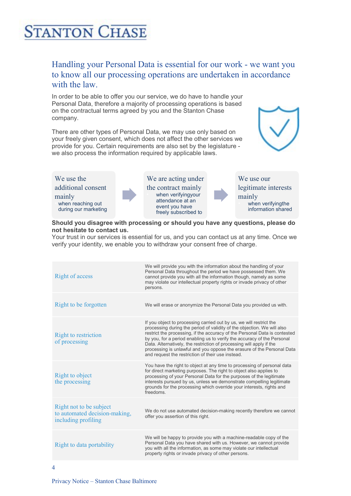### **TANTON CHASE**

#### Handling your Personal Data is essential for our work - we want you to know all our processing operations are undertaken in accordance with the law.

In order to be able to offer you our service, we do have to handle your Personal Data, therefore a majority of processing operations is based on the contractual terms agreed by you and the Stanton Chase company.

There are other types of Personal Data, we may use only based on your freely given consent, which does not affect the other services we provide for you. Certain requirements are also set by the legislature we also process the information required by applicable laws.





#### Should you disagree with processing or should you have any questions, please do not hesitate to contact us.

Your trust in our services is essential for us, and you can contact us at any time. Once we verify your identity, we enable you to withdraw your consent free of charge.

| <b>Right of access</b>                                                          | We will provide you with the information about the handling of your<br>Personal Data throughout the period we have possessed them. We<br>cannot provide you with all the information though, namely as some<br>may violate our intellectual property rights or invade privacy of other<br>persons.                                                                                                                                                                                                             |
|---------------------------------------------------------------------------------|----------------------------------------------------------------------------------------------------------------------------------------------------------------------------------------------------------------------------------------------------------------------------------------------------------------------------------------------------------------------------------------------------------------------------------------------------------------------------------------------------------------|
| Right to be forgotten                                                           | We will erase or anonymize the Personal Data you provided us with.                                                                                                                                                                                                                                                                                                                                                                                                                                             |
| Right to restriction<br>of processing                                           | If you object to processing carried out by us, we will restrict the<br>processing during the period of validity of the objection. We will also<br>restrict the processing, if the accuracy of the Personal Data is contested<br>by you, for a period enabling us to verify the accuracy of the Personal<br>Data. Alternatively, the restriction of processing will apply if the<br>processing is unlawful and you oppose the erasure of the Personal Data<br>and request the restriction of their use instead. |
| Right to object<br>the processing                                               | You have the right to object at any time to processing of personal data<br>for direct marketing purposes. The right to object also applies to<br>processing of your Personal Data for the purposes of the legitimate<br>interests pursued by us, unless we demonstrate compelling legitimate<br>grounds for the processing which override your interests, rights and<br>freedoms.                                                                                                                              |
| Right not to be subject<br>to automated decision-making,<br>including profiling | We do not use automated decision-making recently therefore we cannot<br>offer you assertion of this right.                                                                                                                                                                                                                                                                                                                                                                                                     |
| Right to data portability                                                       | We will be happy to provide you with a machine-readable copy of the<br>Personal Data you have shared with us. However, we cannot provide<br>you with all the information, as some may violate our intellectual<br>property rights or invade privacy of other persons.                                                                                                                                                                                                                                          |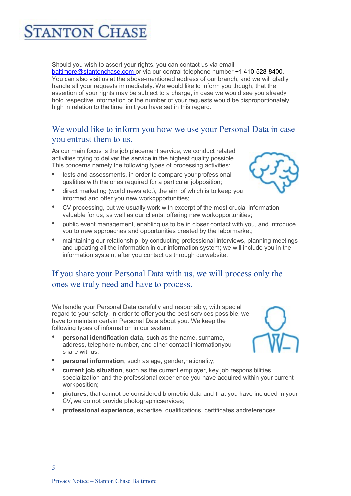

- 
- current job situation, such as the current employer, key job responsibilities, specialization and the professional experience you have acquired within your current workposition;
- pictures, that cannot be considered biometric data and that you have included in your CV, we do not provide photographicservices;
- professional experience, expertise, qualifications, certificates andreferences.



#### We would like to inform you how we use your Personal Data in case you entrust them to us.

baltimore@stantonchase.com or via our central telephone number +1 410-528-8400. You can also visit us at the above-mentioned address of our branch, and we will gladly handle all your requests immediately. We would like to inform you though, that the assertion of your rights may be subject to a charge, in case we would see you already hold respective information or the number of your requests would be disproportionately

As our main focus is the job placement service, we conduct related activities trying to deliver the service in the highest quality possible. This concerns namely the following types of processing activities:

Should you wish to assert your rights, you can contact us via email

**ANTON CHASE** 

- tests and assessments, in order to compare your professional qualities with the ones required for a particular jobposition;
- direct marketing (world news etc.), the aim of which is to keep you informed and offer you new workopportunities;
- CV processing, but we usually work with excerpt of the most crucial information
- valuable for us, as well as our clients, offering new workopportunities;
- public event management, enabling us to be in closer contact with you, and introduce you to new approaches and opportunities created by the labormarket;
- maintaining our relationship, by conducting professional interviews, planning meetings and updating all the information in our information system; we will include you in the information system, after you contact us through ourwebsite.

#### If you share your Personal Data with us, we will process only the ones we truly need and have to process.

regard to your safety. In order to offer you the best services possible, we have to maintain certain Personal Data about you. We keep the following types of information in our system:

 personal identification data, such as the name, surname, address, telephone number, and other contact informationyou share withus;

We handle your Personal Data carefully and responsibly, with special

personal information, such as age, gender,nationality;





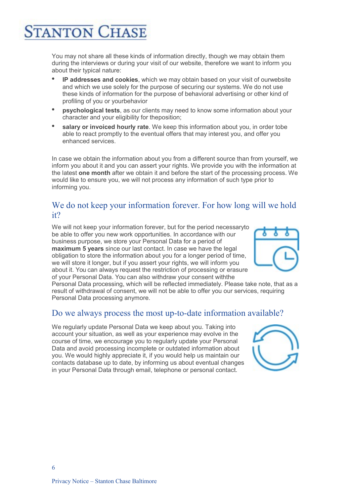### **ANTON CHASE**

You may not share all these kinds of information directly, though we may obtain them during the interviews or during your visit of our website, therefore we want to inform you about their typical nature:

- IP addresses and cookies, which we may obtain based on your visit of ourwebsite and which we use solely for the purpose of securing our systems. We do not use these kinds of information for the purpose of behavioral advertising or other kind of profiling of you or yourbehavior
- psychological tests, as our clients may need to know some information about your character and your eligibility for theposition;
- salary or invoiced hourly rate. We keep this information about you, in order tobe able to react promptly to the eventual offers that may interest you, and offer you enhanced services.

In case we obtain the information about you from a different source than from yourself, we inform you about it and you can assert your rights. We provide you with the information at the latest one month after we obtain it and before the start of the processing process. We would like to ensure you, we will not process any information of such type prior to informing you.

#### We do not keep your information forever. For how long will we hold it?

We will not keep your information forever, but for the period necessaryto be able to offer you new work opportunities. In accordance with our business purpose, we store your Personal Data for a period of maximum 5 years since our last contact. In case we have the legal obligation to store the information about you for a longer period of time, we will store it longer, but if you assert your rights, we will inform you about it. You can always request the restriction of processing or erasure of your Personal Data. You can also withdraw your consent withthe



Personal Data processing, which will be reflected immediately. Please take note, that as a result of withdrawal of consent, we will not be able to offer you our services, requiring Personal Data processing anymore.

#### Do we always process the most up-to-date information available?

We regularly update Personal Data we keep about you. Taking into account your situation, as well as your experience may evolve in the course of time, we encourage you to regularly update your Personal Data and avoid processing incomplete or outdated information about you. We would highly appreciate it, if you would help us maintain our contacts database up to date, by informing us about eventual changes in your Personal Data through email, telephone or personal contact.